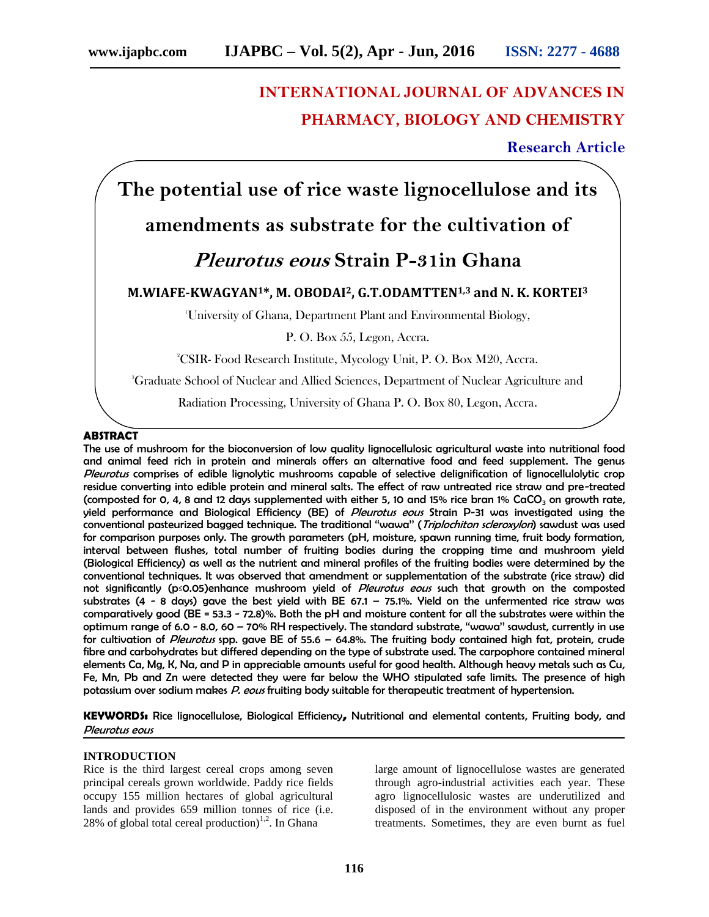# **INTERNATIONAL JOURNAL OF ADVANCES IN PHARMACY, BIOLOGY AND CHEMISTRY**

**Research Article**

**The potential use of rice waste lignocellulose and its**

# **amendments as substrate for the cultivation of**

# *Pleurotus eous* **Strain P-31in Ghana**

## **M.WIAFE-KWAGYAN1\*, M. OBODAI2, G.T.ODAMTTEN1,3 and N. K. KORTEI<sup>3</sup>**

<sup>1</sup>University of Ghana, Department Plant and Environmental Biology,

P. O. Box 55, Legon, Accra.

<sup>2</sup>CSIR- Food Research Institute, Mycology Unit, P. O. Box M20, Accra.

<sup>3</sup>Graduate School of Nuclear and Allied Sciences, Department of Nuclear Agriculture and

Radiation Processing, University of Ghana P. O. Box 80, Legon, Accra.

### **ABSTRACT**

The use of mushroom for the bioconversion of low quality lignocellulosic agricultural waste into nutritional food and animal feed rich in protein and minerals offers an alternative food and feed supplement. The genus *Pleurotus* comprises of edible lignolytic mushrooms capable of selective delignification of lignocellulolytic crop residue converting into edible protein and mineral salts. The effect of raw untreated rice straw and pre-treated (composted for 0, 4, 8 and 12 days supplemented with either 5, 10 and 15% rice bran 1% CaCO<sub>3</sub> on growth rate, yield performance and Biological Efficiency (BE) of *Pleurotus eous* Strain P-31 was investigated using the conventional pasteurized bagged technique. The traditional ''wawa'' (*Triplochiton scleroxylon*) sawdust was used for comparison purposes only. The growth parameters (pH, moisture, spawn running time, fruit body formation, interval between flushes, total number of fruiting bodies during the cropping time and mushroom yield (Biological Efficiency) as well as the nutrient and mineral profiles of the fruiting bodies were determined by the conventional techniques. It was observed that amendment or supplementation of the substrate (rice straw) did not significantly (p≤0.05)enhance mushroom yield of *Pleurotus eous* such that growth on the composted substrates (4 - 8 days) gave the best yield with BE 67.1 - 75.1%. Yield on the unfermented rice straw was comparatively good (BE = 53.3 -72.8)%. Both the pH and moisture content for all the substrates were within the optimum range of 6.0 - 8.0, 60 – 70% RH respectively. The standard substrate, ''wawa'' sawdust, currently in use for cultivation of *Pleurotus* spp. gave BE of 55.6 – 64.8%. The fruiting body contained high fat, protein, crude fibre and carbohydrates but differed depending on the type of substrate used. The carpophore contained mineral elements Ca, Mg, K, Na, and P in appreciable amounts useful for good health. Although heavy metals such as Cu, Fe, Mn, Pb and Zn were detected they were far below the WHO stipulated safe limits. The presence of high potassium over sodium makes *P. eous* fruiting body suitable for therapeutic treatment of hypertension.

**KEYWORDS:** Rice lignocellulose, Biological Efficiency**,** Nutritional and elemental contents, Fruiting body, and *Pleurotus eous*

#### **INTRODUCTION**

Rice is the third largest cereal crops among seven principal cereals grown worldwide. Paddy rice fields occupy 155 million hectares of global agricultural lands and provides 659 million tonnes of rice (i.e. 28% of global total cereal production)<sup>1,2</sup>. In Ghana

large amount of lignocellulose wastes are generated through agro-industrial activities each year. These agro lignocellulosic wastes are underutilized and disposed of in the environment without any proper treatments. Sometimes, they are even burnt as fuel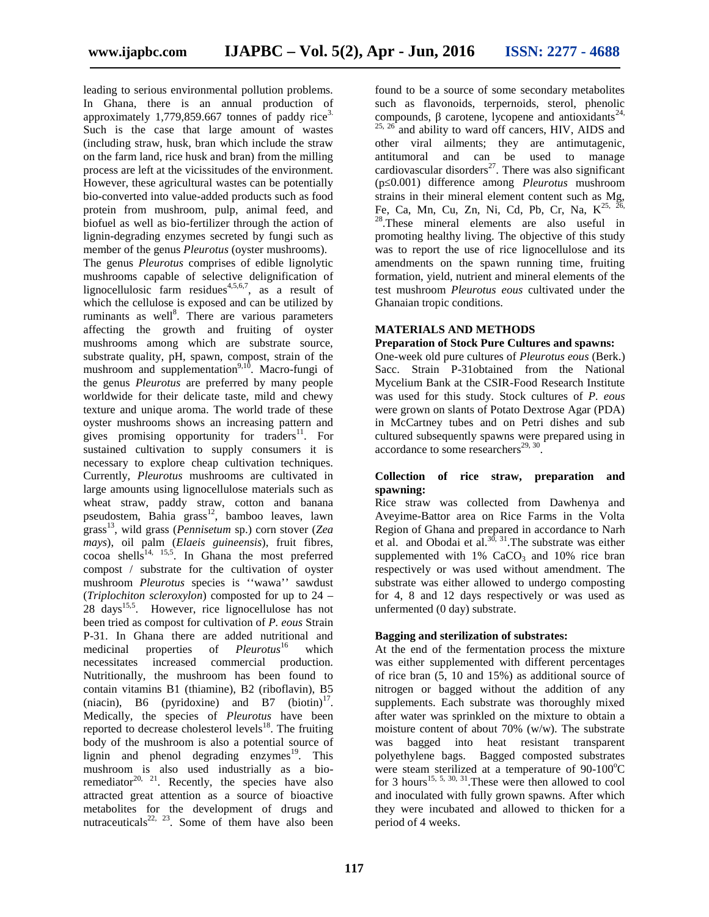leading to serious environmental pollution problems. In Ghana, there is an annual production of approximately  $1,779,859.667$  tonnes of paddy rice<sup>3.</sup> Such is the case that large amount of wastes (including straw, husk, bran which include the straw on the farm land, rice husk and bran) from the milling process are left at the vicissitudes of the environment. However, these agricultural wastes can be potentially bio-converted into value-added products such as food<br>protein from mushroom, pulp, animal feed, and Fe, Ca, Mn, Cu, Zn, Ni, Cd, Pb, Cr, Na,  $K^{25, 2}$ protein from mushroom, pulp, animal feed, and biofuel as well as bio-fertilizer through the action of lignin-degrading enzymes secreted by fungi such as member of the genus *Pleurotus* (oyster mushrooms).

The genus *Pleurotus* comprises of edible lignolytic mushrooms capable of selective delignification of lignocellulosic farm residues<sup>4,5,6,7</sup>, as a result of which the cellulose is exposed and can be utilized by ruminants as well<sup>8</sup>. There are various parameters affecting the growth and fruiting of oyster mushrooms among which are substrate source, substrate quality, pH, spawn, compost, strain of the mushroom and supplementation $9,10$ . Macro-fungi of the genus *Pleurotus* are preferred by many people worldwide for their delicate taste, mild and chewy texture and unique aroma. The world trade of these oyster mushrooms shows an increasing pattern and gives promising opportunity for traders<sup>11</sup>. For sustained cultivation to supply consumers it is necessary to explore cheap cultivation techniques. Currently, *Pleurotus* mushrooms are cultivated in large amounts using lignocellulose materials such as wheat straw, paddy straw, cotton and banana pseudostem, Bahia grass<sup>12</sup>, bamboo leaves, lawn grass<sup>13</sup>, wild grass (*Pennisetum* sp.) corn stover (*Zea mays*), oil palm (*Elaeis guineensis*), fruit fibres,  $\overline{\text{coca}}$  shells<sup>14, 15,5</sup>. In Ghana the most preferred compost / substrate for the cultivation of oyster mushroom *Pleurotus* species is ''wawa'' sawdust (*Triplochiton scleroxylon*) composted for up to 24 – 28 days<sup>15,5</sup>. However, rice lignocellulose has not been tried as compost for cultivation of *P. eous* Strain P-31. In Ghana there are added nutritional and medicinal properties of *Pleurotus*<sup>16</sup> which necessitates increased commercial production. Nutritionally, the mushroom has been found to contain vitamins B1 (thiamine), B2 (riboflavin), B5 (niacin), B6 (pyridoxine) and B7 (biotin) $^{17}$ . Medically, the species of *Pleurotus* have been reported to decrease cholesterol levels $18$ . The fruiting body of the mushroom is also a potential source of lignin and phenol degrading enzymes $19$ . This mushroom is also used industrially as a bioremediator<sup>20, 21</sup>. Recently, the species have also attracted great attention as a source of bioactive metabolites for the development of drugs and nutraceuticals<sup>22, 23</sup>. Some of them have also been

found to be a source of some secondary metabolites such as flavonoids, terpernoids, sterol, phenolic compounds, carotene, lycopene and antioxidants<sup>24,</sup>  $25, 26$  and ability to ward off cancers, HIV, AIDS and other viral ailments; they are antimutagenic, antitumoral and can be used to manage cardiovascular disorders<sup>27</sup>. There was also significant (p≤0.001) difference among *Pleurotus* mushroom strains in their mineral element content such as Mg,  $E^{28}$ . These mineral elements are also useful in promoting healthy living. The objective of this study was to report the use of rice lignocellulose and its amendments on the spawn running time, fruiting formation, yield, nutrient and mineral elements of the test mushroom *Pleurotus eous* cultivated under the Ghanaian tropic conditions.

#### **MATERIALS AND METHODS**

### **Preparation of Stock Pure Cultures and spawns:**

One-week old pure cultures of *Pleurotus eous* (Berk.) Sacc. Strain P-31obtained from the National Mycelium Bank at the CSIR-Food Research Institute was used for this study. Stock cultures of *P. eous* were grown on slants of Potato Dextrose Agar (PDA) in McCartney tubes and on Petri dishes and sub cultured subsequently spawns were prepared using in accordance to some researchers<sup>29, 30</sup> .

#### **Collection of rice straw, preparation and spawning:**

Rice straw was collected from Dawhenya and Aveyime-Battor area on Rice Farms in the Volta Region of Ghana and prepared in accordance to Narh et al. and Obodai et  $aL^{30, 31}$ . The substrate was either supplemented with  $1\%$  CaCO<sub>3</sub> and  $10\%$  rice bran respectively or was used without amendment. The substrate was either allowed to undergo composting for 4, 8 and 12 days respectively or was used as unfermented (0 day) substrate.

#### **Bagging and sterilization of substrates:**

At the end of the fermentation process the mixture was either supplemented with different percentages of rice bran (5, 10 and 15%) as additional source of nitrogen or bagged without the addition of any supplements. Each substrate was thoroughly mixed after water was sprinkled on the mixture to obtain a moisture content of about 70% (w/w). The substrate was bagged into heat resistant transparent polyethylene bags. Bagged composted substrates were steam sterilized at a temperature of  $90-100^{\circ}$ C for 3 hours<sup>15, 5, 30, 31</sup>. These were then allowed to cool and inoculated with fully grown spawns. After which they were incubated and allowed to thicken for a period of 4 weeks.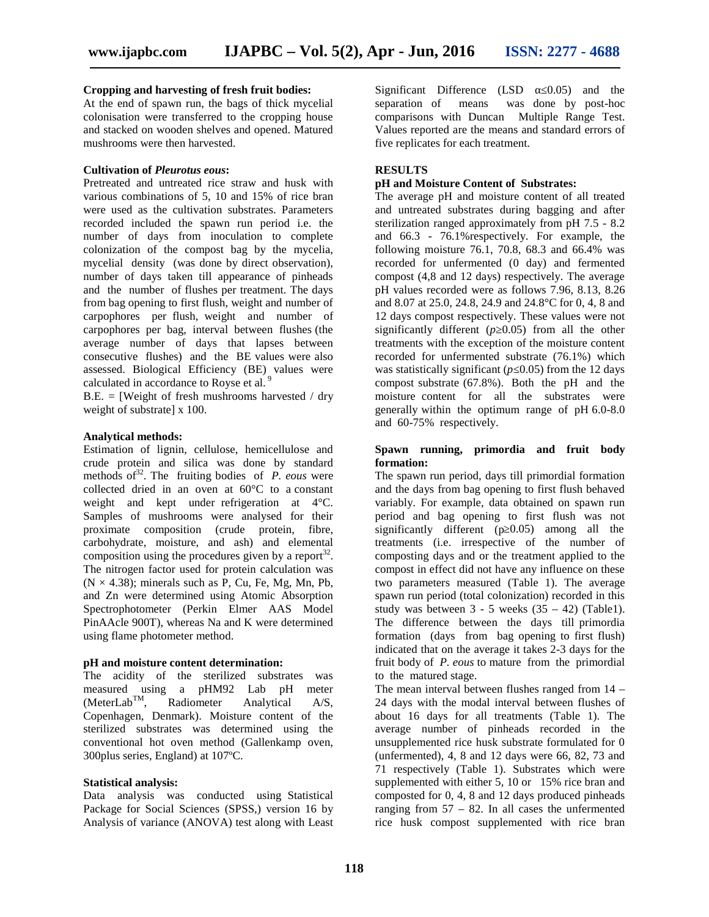#### **Cropping and harvesting of fresh fruit bodies:**

At the end of spawn run, the bags of thick mycelial colonisation were transferred to the cropping house and stacked on wooden shelves and opened. Matured mushrooms were then harvested.

#### **Cultivation of** *Pleurotus eous***:**

Pretreated and untreated rice straw and husk with various combinations of 5, 10 and 15% of rice bran were used as the cultivation substrates. Parameters recorded included the spawn run period i.e. the number of days from inoculation to complete colonization of the compost bag by the mycelia, mycelial density (was done by direct observation), number of days taken till appearance of pinheads and the number of flushes per treatment. The days from bag opening to first flush, weight and number of carpophores per flush, weight and number of carpophores per bag, interval between flushes (the average number of days that lapses between consecutive flushes) and the BE values were also assessed. Biological Efficiency (BE) values were calculated in accordance to Royse et al.<sup>9</sup>

 $B.E. =$  [Weight of fresh mushrooms harvested / dry weight of substratel x 100.

#### **Analytical methods:**

Estimation of lignin, cellulose, hemicellulose and crude protein and silica was done by standard methods of  $32$ . The fruiting bodies of *P. eous* were collected dried in an oven at 60°C to a constant weight and kept under refrigeration at 4°C. Samples of mushrooms were analysed for their proximate composition (crude protein, fibre, carbohydrate, moisture, and ash) and elemental composition using the procedures given by a report $^{32}$ . The nitrogen factor used for protein calculation was  $(N \times 4.38)$ ; minerals such as P, Cu, Fe, Mg, Mn, Pb, and Zn were determined using Atomic Absorption Spectrophotometer (Perkin Elmer AAS Model PinAAcle 900T), whereas Na and K were determined using flame photometer method.

#### **pH and moisture content determination:**

The acidity of the sterilized substrates was measured using a pHM92 Lab pH meter  $(MeterLab<sup>TM</sup>,$  Radiometer Analytical A/S, Copenhagen, Denmark). Moisture content of the sterilized substrates was determined using the conventional hot oven method (Gallenkamp oven, 300plus series, England) at 107ºC.

#### **Statistical analysis:**

Data analysis was conducted using Statistical Package for Social Sciences (SPSS,) version 16 by Analysis of variance (ANOVA) test along with Least Significant Difference (LSD 0.05) and the separation of means was done by post-hoc was done by post-hoc comparisons with Duncan Multiple Range Test. Values reported are the means and standard errors of five replicates for each treatment.

### **RESULTS**

#### **pH and Moisture Content of Substrates:**

The average pH and moisture content of all treated and untreated substrates during bagging and after sterilization ranged approximately from pH 7.5 - 8.2 and 66.3 - 76.1%respectively. For example, the following moisture 76.1, 70.8, 68.3 and 66.4% was recorded for unfermented (0 day) and fermented compost (4,8 and 12 days) respectively. The average pH values recorded were as follows 7.96, 8.13, 8.26 and 8.07 at 25.0, 24.8, 24.9 and 24.8°C for 0, 4, 8 and 12 days compost respectively. These values were not significantly different  $(p\ 0.05)$  from all the other treatments with the exception of the moisture content recorded for unfermented substrate (76.1%) which was statistically significant ( $p<sub>0.05</sub>$ ) from the 12 days compost substrate (67.8%). Both the pH and the moisture content for all the substrates were generally within the optimum range of pH 6.0-8.0 and 60-75% respectively.

#### **Spawn running, primordia and fruit body formation:**

The spawn run period, days till primordial formation and the days from bag opening to first flush behaved variably. For example, data obtained on spawn run period and bag opening to first flush was not significantly different ( $p$  0.05) among all the treatments (i.e. irrespective of the number of composting days and or the treatment applied to the compost in effect did not have any influence on these two parameters measured (Table 1). The average spawn run period (total colonization) recorded in this study was between  $3 - 5$  weeks  $(35 - 42)$  (Table1). The difference between the days till primordia formation (days from bag opening to first flush) indicated that on the average it takes 2-3 days for the fruit body of *P. eous* to mature from the primordial to the matured stage.

The mean interval between flushes ranged from 14 – 24 days with the modal interval between flushes of about 16 days for all treatments (Table 1). The average number of pinheads recorded in the unsupplemented rice husk substrate formulated for 0 (unfermented), 4, 8 and 12 days were 66, 82, 73 and 71 respectively (Table 1). Substrates which were supplemented with either 5, 10 or 15% rice bran and composted for 0, 4, 8 and 12 days produced pinheads ranging from  $57 - 82$ . In all cases the unfermented rice husk compost supplemented with rice bran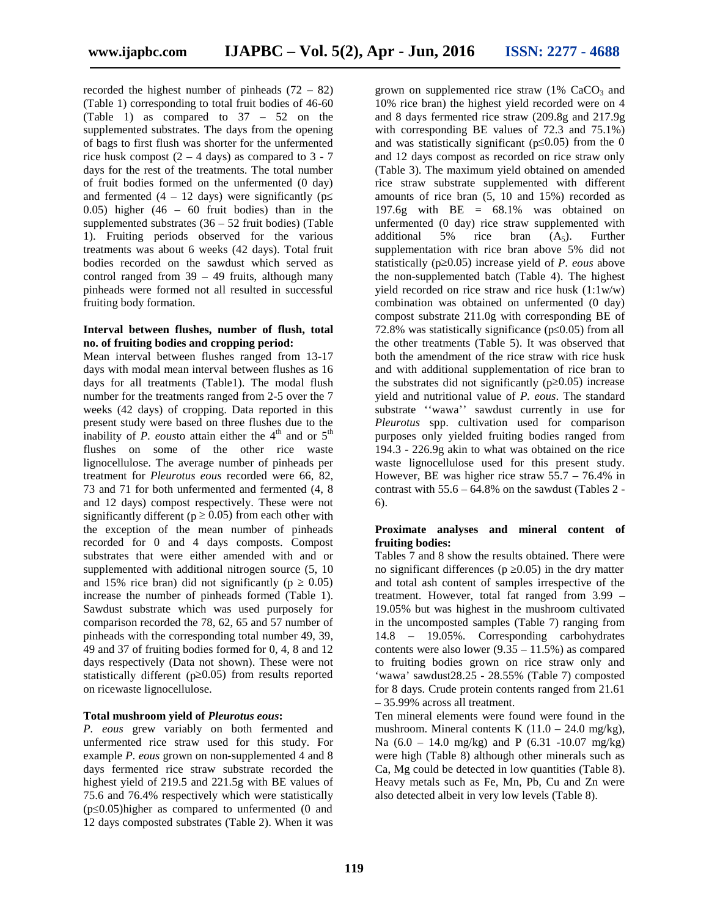recorded the highest number of pinheads  $(72 - 82)$ (Table 1) corresponding to total fruit bodies of 46-60 (Table 1) as compared to 37 – 52 on the supplemented substrates. The days from the opening of bags to first flush was shorter for the unfermented rice husk compost  $(2 – 4 days)$  as compared to  $3 – 7$ days for the rest of the treatments. The total number of fruit bodies formed on the unfermented (0 day) and fermented  $(4 - 12 \text{ days})$  were significantly (p 0.05) higher (46 – 60 fruit bodies) than in the supplemented substrates  $(36 – 52$  fruit bodies) (Table 1). Fruiting periods observed for the various treatments was about 6 weeks (42 days). Total fruit bodies recorded on the sawdust which served as control ranged from  $39 - 49$  fruits, although many pinheads were formed not all resulted in successful fruiting body formation.

#### **Interval between flushes, number of flush, total no. of fruiting bodies and cropping period:**

Mean interval between flushes ranged from 13-17 days with modal mean interval between flushes as 16 days for all treatments (Table1). The modal flush number for the treatments ranged from 2-5 over the 7 weeks (42 days) of cropping. Data reported in this present study were based on three flushes due to the inability of  $P$ . eousto attain either the  $4<sup>th</sup>$  and or  $5<sup>th</sup>$ flushes on some of the other rice waste lignocellulose. The average number of pinheads per treatment for *Pleurotus eous* recorded were 66, 82, 73 and 71 for both unfermented and fermented (4, 8 and 12 days) compost respectively. These were not significantly different ( $p \quad 0.05$ ) from each other with the exception of the mean number of pinheads recorded for 0 and 4 days composts. Compost substrates that were either amended with and or supplemented with additional nitrogen source  $(5, 10)$ and 15% rice bran) did not significantly  $(p \t 0.05)$ increase the number of pinheads formed (Table 1). Sawdust substrate which was used purposely for comparison recorded the 78, 62, 65 and 57 number of pinheads with the corresponding total number 49, 39, 49 and 37 of fruiting bodies formed for 0, 4, 8 and 12 days respectively (Data not shown). These were not statistically different (p 0.05) from results reported on ricewaste lignocellulose.

#### **Total mushroom yield of** *Pleurotus eous***:**

*P. eous* grew variably on both fermented and unfermented rice straw used for this study. For example *P. eous* grown on non-supplemented 4 and 8 days fermented rice straw substrate recorded the highest yield of 219.5 and 221.5g with BE values of 75.6 and 76.4% respectively which were statistically (p≤0.05)higher as compared to unfermented (0 and 12 days composted substrates (Table 2). When it was

grown on supplemented rice straw  $(1\%$  CaCO<sub>3</sub> and 10% rice bran) the highest yield recorded were on 4 and 8 days fermented rice straw (209.8g and 217.9g with corresponding BE values of 72.3 and 75.1%) and was statistically significant ( $p(0.05)$ ) from the 0 and 12 days compost as recorded on rice straw only (Table 3). The maximum yield obtained on amended rice straw substrate supplemented with different amounts of rice bran (5, 10 and 15%) recorded as 197.6g with  $BE = 68.1\%$  was obtained on unfermented (0 day) rice straw supplemented with additional 5% rice bran  $(A_5)$ . Further supplementation with rice bran above 5% did not statistically (p 0.05) increase yield of *P. eous* above the non-supplemented batch (Table 4). The highest yield recorded on rice straw and rice husk (1:1w/w) combination was obtained on unfermented (0 day) compost substrate 211.0g with corresponding BE of 72.8% was statistically significance ( $p<sub>0.05</sub>$ ) from all the other treatments (Table 5). It was observed that both the amendment of the rice straw with rice husk and with additional supplementation of rice bran to the substrates did not significantly ( $p$  0.05) increase yield and nutritional value of *P. eous*. The standard substrate ''wawa'' sawdust currently in use for *Pleurotus* spp. cultivation used for comparison purposes only yielded fruiting bodies ranged from 194.3 - 226.9g akin to what was obtained on the rice waste lignocellulose used for this present study. However, BE was higher rice straw 55.7 – 76.4% in contrast with  $55.6 - 64.8\%$  on the sawdust (Tables 2 -6).

#### **Proximate analyses and mineral content of fruiting bodies:**

Tables 7 and 8 show the results obtained. There were no significant differences ( $p \quad 0.05$ ) in the dry matter and total ash content of samples irrespective of the treatment. However, total fat ranged from 3.99 – 19.05% but was highest in the mushroom cultivated in the uncomposted samples (Table 7) ranging from 14.8 – 19.05%. Corresponding carbohydrates contents were also lower  $(9.35 - 11.5%)$  as compared to fruiting bodies grown on rice straw only and 'wawa' sawdust28.25 - 28.55% (Table 7) composted for 8 days. Crude protein contents ranged from 21.61 – 35.99% across all treatment.

Ten mineral elements were found were found in the mushroom. Mineral contents K  $(11.0 - 24.0 \text{ mg/kg})$ , Na  $(6.0 - 14.0 \text{ mg/kg})$  and P  $(6.31 - 10.07 \text{ mg/kg})$ were high (Table 8) although other minerals such as Ca, Mg could be detected in low quantities (Table 8). Heavy metals such as Fe, Mn, Pb, Cu and Zn were also detected albeit in very low levels (Table 8).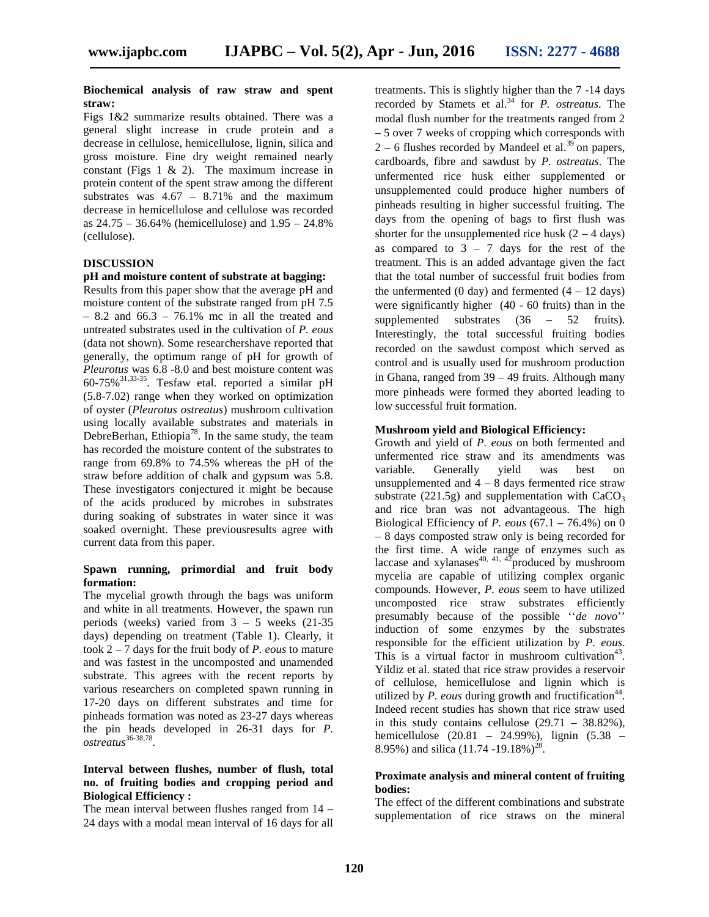#### **Biochemical analysis of raw straw and spent straw:**

Figs 1&2 summarize results obtained. There was a general slight increase in crude protein and a decrease in cellulose, hemicellulose, lignin, silica and gross moisture. Fine dry weight remained nearly constant (Figs 1 & 2). The maximum increase in protein content of the spent straw among the different substrates was  $4.67 - 8.71\%$  and the maximum decrease in hemicellulose and cellulose was recorded as 24.75 – 36.64% (hemicellulose) and 1.95 – 24.8% (cellulose).

#### **DISCUSSION**

#### **pH and moisture content of substrate at bagging:**

Results from this paper show that the average pH and moisture content of the substrate ranged from pH 7.5  $- 8.2$  and  $66.3 - 76.1\%$  mc in all the treated and untreated substrates used in the cultivation of *P. eous* (data not shown). Some researchershave reported that generally, the optimum range of pH for growth of *Pleurotus* was 6.8 -8.0 and best moisture content was  $60-75\%$ <sup>31,33-35</sup>. Tesfaw etal. reported a similar pH same sum G (5.8-7.02) range when they worked on optimization of oyster (*Pleurotus ostreatus*) mushroom cultivation using locally available substrates and materials in DebreBerhan, Ethiopia<sup>78</sup>. In the same study, the team  $\overline{C_{\text{max}}}$ has recorded the moisture content of the substrates to range from 69.8% to 74.5% whereas the pH of the straw before addition of chalk and gypsum was 5.8. These investigators conjectured it might be because of the acids produced by microbes in substrates during soaking of substrates in water since it was soaked overnight. These previousresults agree with current data from this paper.

#### **Spawn running, primordial and fruit body formation:**

The mycelial growth through the bags was uniform and white in all treatments. However, the spawn run periods (weeks) varied from 3 – 5 weeks (21-35 days) depending on treatment (Table 1). Clearly, it took 2 – 7 days for the fruit body of *P. eous* to mature and was fastest in the uncomposted and unamended substrate. This agrees with the recent reports by various researchers on completed spawn running in 17-20 days on different substrates and time for pinheads formation was noted as 23-27 days whereas the pin heads developed in 26-31 days for *P. ostreatus*36-38,78 *.*

#### **Interval between flushes, number of flush, total no. of fruiting bodies and cropping period and Biological Efficiency :**

The mean interval between flushes ranged from 14 – 24 days with a modal mean interval of 16 days for all treatments. This is slightly higher than the 7 -14 days recorded by Stamets et al.<sup>34</sup> for *P. ostreatus*. The modal flush number for the treatments ranged from 2 – 5 over 7 weeks of cropping which corresponds with  $2 - 6$  flushes recorded by Mandeel et al.<sup>39</sup> on papers, cardboards, fibre and sawdust by *P. ostreatus.* The unfermented rice husk either supplemented or unsupplemented could produce higher numbers of pinheads resulting in higher successful fruiting. The days from the opening of bags to first flush was shorter for the unsupplemented rice husk  $(2 – 4 \text{ days})$ as compared to  $3 - 7$  days for the rest of the treatment. This is an added advantage given the fact that the total number of successful fruit bodies from the unfermented (0 day) and fermented  $(4 - 12 \text{ days})$ were significantly higher (40 - 60 fruits) than in the supplemented substrates  $(36 - 52$  fruits). Interestingly, the total successful fruiting bodies recorded on the sawdust compost which served as control and is usually used for mushroom production in Ghana, ranged from 39 – 49 fruits. Although many more pinheads were formed they aborted leading to low successful fruit formation.

#### **Mushroom yield and Biological Efficiency:**

Growth and yield of *P. eous* on both fermented and unfermented rice straw and its amendments was variable. Generally yield was best on unsupplemented and  $4 - 8$  days fermented rice straw substrate (221.5g) and supplementation with  $CaCO<sub>3</sub>$ and rice bran was not advantageous. The high Biological Efficiency of *P. eous* (67.1 – 76.4%) on 0 – 8 days composted straw only is being recorded for the first time. A wide range of enzymes such as laccase and xylanases<sup>40, 41, 42</sup>produced by mushroom mycelia are capable of utilizing complex organic compounds. However, *P. eous* seem to have utilized uncomposted rice straw substrates efficiently presumably because of the possible ''*de novo*'' induction of some enzymes by the substrates responsible for the efficient utilization by *P. eous*. This is a virtual factor in mushroom cultivation<sup>43</sup>. Yildiz et al. stated that rice straw provides a reservoir of cellulose, hemicellulose and lignin which is utilized by  $P$ . eous during growth and fructification<sup>44</sup>. Indeed recent studies has shown that rice straw used in this study contains cellulose  $(29.71 - 38.82\%)$ , hemicellulose (20.81 – 24.99%), lignin (5.38 – 8.95%) and silica  $(11.74 - 19.18\%)^{28}$ .

#### **Proximate analysis and mineral content of fruiting bodies:**

The effect of the different combinations and substrate supplementation of rice straws on the mineral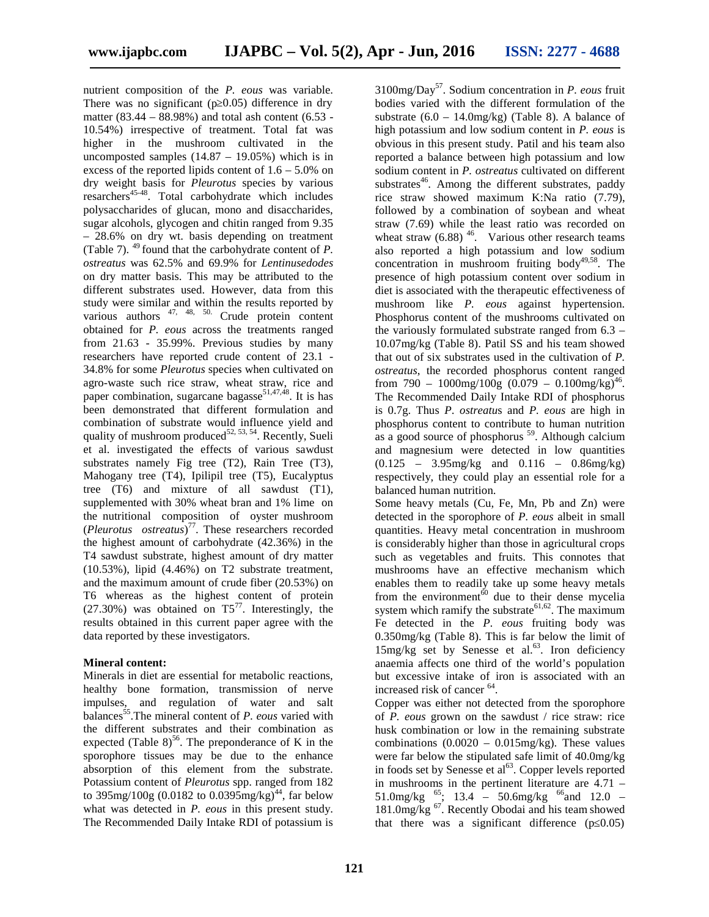nutrient composition of the *P. eous* was variable. There was no significant ( $p$  0.05) difference in dry matter (83.44 – 88.98%) and total ash content (6.53 - 10.54%) irrespective of treatment. Total fat was higher in the mushroom cultivated in the uncomposted samples  $(14.87 - 19.05%)$  which is in excess of the reported lipids content of  $1.6 - 5.0\%$  on dry weight basis for *Pleurotus* species by various resarchers<sup>45-48</sup>. Total carbohydrate which includes polysaccharides of glucan, mono and disaccharides, sugar alcohols, glycogen and chitin ranged from 9.35 – 28.6% on dry wt. basis depending on treatment (Table 7). <sup>49</sup> found that the carbohydrate content of *P. ostreatus* was 62.5% and 69.9% for *Lentinusedodes* on dry matter basis. This may be attributed to the different substrates used. However, data from this study were similar and within the results reported by various authors <sup>47, 48, 50.</sup> Crude protein content obtained for *P. eous* across the treatments ranged from 21.63 - 35.99%. Previous studies by many researchers have reported crude content of 23.1 - 34.8% for some *Pleurotus* species when cultivated on agro-waste such rice straw, wheat straw, rice and paper combination, sugarcane bagasse<sup>51,47,48</sup>. It is has been demonstrated that different formulation and combination of substrate would influence yield and quality of mushroom produced<sup>52, 53, 54</sup>. Recently, Sueli et al. investigated the effects of various sawdust substrates namely Fig tree (T2), Rain Tree (T3), Mahogany tree (T4), Ipilipil tree (T5), Eucalyptus tree (T6) and mixture of all sawdust (T1), supplemented with 30% wheat bran and 1% lime on the nutritional composition of oyster mushroom (*Pleurotus ostreatus*) <sup>77</sup>. These researchers recorded the highest amount of carbohydrate (42.36%) in the T4 sawdust substrate, highest amount of dry matter (10.53%), lipid (4.46%) on T2 substrate treatment, and the maximum amount of crude fiber (20.53%) on T6 whereas as the highest content of protein  $(27.30\%)$  was obtained on T5<sup>77</sup>. Interestingly, the results obtained in this current paper agree with the data reported by these investigators.

#### **Mineral content:**

Minerals in diet are essential for metabolic reactions, healthy bone formation, transmission of nerve impulses, and regulation of water and salt balances<sup>55</sup>.The mineral content of *P. eous* varied with the different substrates and their combination as expected (Table 8)<sup>56</sup>. The preponderance of K in the sporophore tissues may be due to the enhance absorption of this element from the substrate. Potassium content of *Pleurotus* spp. ranged from 182 to 395mg/100g (0.0182 to 0.0395mg/kg)<sup>44</sup>, far below what was detected in *P. eous* in this present study. The Recommended Daily Intake RDI of potassium is

3100mg/Day<sup>57</sup>. Sodium concentration in *P. eous* fruit bodies varied with the different formulation of the substrate  $(6.0 - 14.0 \text{mg/kg})$  (Table 8). A balance of high potassium and low sodium content in *P. eous* is obvious in this present study. Patil and his team also reported a balance between high potassium and low sodium content in *P. ostreatus* cultivated on different substrates<sup>46</sup>. Among the different substrates, paddy rice straw showed maximum K:Na ratio (7.79), followed by a combination of soybean and wheat straw (7.69) while the least ratio was recorded on wheat straw  $(6.88)^{46}$ . Various other research teams also reported a high potassium and low sodium concentration in mushroom fruiting body<sup>49,58</sup>. The presence of high potassium content over sodium in diet is associated with the therapeutic effectiveness of mushroom like *P. eous* against hypertension. Phosphorus content of the mushrooms cultivated on the variously formulated substrate ranged from 6.3 – 10.07mg/kg (Table 8). Patil SS and his team showed that out of six substrates used in the cultivation of *P. ostreatus*, the recorded phosphorus content ranged from 790 -  $1000$ mg/ $100$ g (0.079 - 0.100mg/kg)<sup>46</sup>. The Recommended Daily Intake RDI of phosphorus is 0.7g. Thus *P*. *ostreatu*s and *P. eous* are high in phosphorus content to contribute to human nutrition as a good source of phosphorus  $^{59}$ . Although calcium and magnesium were detected in low quantities (0.125 – 3.95mg/kg and 0.116 – 0.86mg/kg) respectively, they could play an essential role for a balanced human nutrition.

Some heavy metals (Cu, Fe, Mn, Pb and Zn) were detected in the sporophore of *P. eous* albeit in small quantities. Heavy metal concentration in mushroom is considerably higher than those in agricultural crops such as vegetables and fruits. This connotes that mushrooms have an effective mechanism which enables them to readily take up some heavy metals from the environment<sup> $\dot{60}$ </sup> due to their dense mycelia system which ramify the substrate<sup>61,62</sup>. The maximum Fe detected in the *P. eous* fruiting body was 0.350mg/kg (Table 8). This is far below the limit of  $15$ mg/kg set by Senesse et al.<sup>63</sup>. Iron deficiency anaemia affects one third of the world's population but excessive intake of iron is associated with an increased risk of cancer <sup>64</sup> .

Copper was either not detected from the sporophore of *P. eous* grown on the sawdust / rice straw: rice husk combination or low in the remaining substrate combinations  $(0.0020 - 0.015mg/kg)$ . These values were far below the stipulated safe limit of 40.0mg/kg in foods set by Senesse et al<sup>63</sup>. Copper levels reported in mushrooms in the pertinent literature are 4.71 –  $51.0$ mg/kg <sup>65</sup>; 13.4 – 50.6mg/kg <sup>66</sup> and 12.0 –  $181.0$ mg/kg  $^{67}$ . Recently Obodai and his team showed that there was a significant difference  $(p\ 0.05)$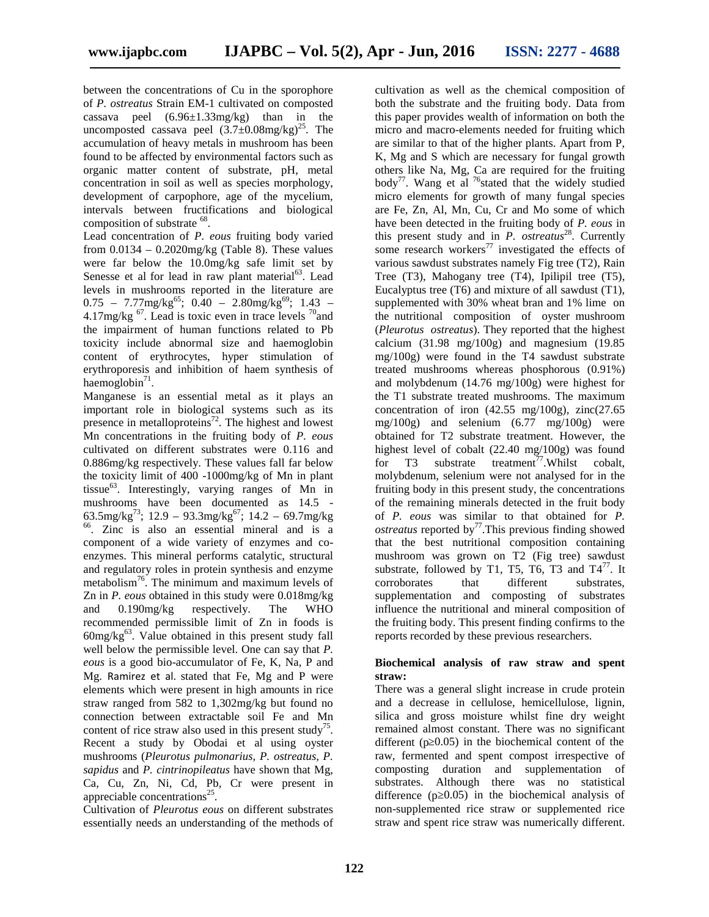between the concentrations of Cu in the sporophore of *P. ostreatus* Strain EM-1 cultivated on composted cassava peel (6.96±1.33mg/kg) than in the uncomposted cassava peel  $(3.7\pm0.08$ mg/kg)<sup>25</sup>. The accumulation of heavy metals in mushroom has been found to be affected by environmental factors such as organic matter content of substrate, pH, metal concentration in soil as well as species morphology, development of carpophore, age of the mycelium, intervals between fructifications and biological composition of substrate <sup>68</sup>.

Lead concentration of *P. eous* fruiting body varied from  $0.0134 - 0.2020$ mg/kg (Table 8). These values were far below the 10.0mg/kg safe limit set by Senesse et al for lead in raw plant material<sup>63</sup>. Lead levels in mushrooms reported in the literature are  $0.75$  –  $7.77 \text{mg/kg}^{65}$ ;  $0.40$  –  $2.80 \text{mg/kg}^{69}$ ;  $1.43$  – 4.17mg/kg  $^{67}$ . Lead is toxic even in trace levels  $^{70}$ and the impairment of human functions related to Pb toxicity include abnormal size and haemoglobin content of erythrocytes, hyper stimulation of erythroporesis and inhibition of haem synthesis of  $h$ aemoglobin<sup>71</sup>.

Manganese is an essential metal as it plays an important role in biological systems such as its presence in metalloproteins<sup>72</sup>. The highest and lowest Mn concentrations in the fruiting body of *P. eous* cultivated on different substrates were 0.116 and 0.886mg/kg respectively. These values fall far below the toxicity limit of 400 -1000mg/kg of Mn in plant tissue<sup>63</sup>. Interestingly, varying ranges of Mn in mushrooms have been documented as  $14.5$  -63.5mg/kg<sup>73</sup>; 12.9 – 93.3mg/kg<sup>67</sup>; 14.2 – 69.7mg/kg <sup>66</sup>. Zinc is also an essential mineral and is a component of a wide variety of enzymes and co enzymes. This mineral performs catalytic, structural and regulatory roles in protein synthesis and enzyme metabolism<sup>76</sup>. The minimum and maximum levels of Zn in *P. eous* obtained in this study were 0.018mg/kg and 0.190mg/kg respectively. The WHO recommended permissible limit of Zn in foods is  $60$ mg/kg $^{63}$ . Value obtained in this present study fall well below the permissible level. One can say that *P. eous* is a good bio-accumulator of Fe, K, Na, P and Mg. Ramirez et al. stated that Fe, Mg and P were elements which were present in high amounts in rice straw ranged from 582 to 1,302mg/kg but found no connection between extractable soil Fe and Mn content of rice straw also used in this present study<sup>75</sup>. Recent a study by Obodai et al using oyster mushrooms (*Pleurotus pulmonarius, P. ostreatus, P. sapidus* and *P. cintrinopileatus* have shown that Mg, Ca, Cu, Zn, Ni, Cd, Pb, Cr were present in appreciable concentrations<sup>25</sup>.

Cultivation of *Pleurotus eous* on different substrates essentially needs an understanding of the methods of

cultivation as well as the chemical composition of both the substrate and the fruiting body. Data from this paper provides wealth of information on both the micro and macro-elements needed for fruiting which are similar to that of the higher plants. Apart from P, K, Mg and S which are necessary for fungal growth others like Na, Mg, Ca are required for the fruiting body<sup>77</sup>. Wang et al <sup>76</sup>stated that the widely studied micro elements for growth of many fungal species are Fe, Zn, Al, Mn, Cu, Cr and Mo some of which have been detected in the fruiting body of *P. eous* in this present study and in *P. ostreatus*<sup>28</sup>. Currently some research workers<sup>77</sup> investigated the effects of various sawdust substrates namely Fig tree (T2), Rain Tree (T3), Mahogany tree (T4), Ipilipil tree (T5), Eucalyptus tree (T6) and mixture of all sawdust (T1), supplemented with 30% wheat bran and 1% lime on the nutritional composition of oyster mushroom (*Pleurotus ostreatus*). They reported that the highest calcium (31.98 mg/100g) and magnesium (19.85 mg/100g) were found in the T4 sawdust substrate treated mushrooms whereas phosphorous (0.91%) and molybdenum (14.76 mg/100g) were highest for the T1 substrate treated mushrooms. The maximum concentration of iron  $(42.55 \text{ mg}/100 \text{g})$ , zinc $(27.65 \text{ g})$ mg/100g) and selenium (6.77 mg/100g) were obtained for T2 substrate treatment. However, the highest level of cobalt (22.40 mg/100g) was found T3 substrate treatment<sup>77</sup>.Whilst cobalt, molybdenum, selenium were not analysed for in the fruiting body in this present study, the concentrations of the remaining minerals detected in the fruit body of *P. eous* was similar to that obtained for *P. ostreatus* reported by<sup>77</sup>. This previous finding showed that the best nutritional composition containing mushroom was grown on T2 (Fig tree) sawdust substrate, followed by T1, T5, T6, T3 and  $T4^{77}$ . It corroborates that different substrates, supplementation and composting of substrates influence the nutritional and mineral composition of the fruiting body. This present finding confirms to the reports recorded by these previous researchers.

#### **Biochemical analysis of raw straw and spent straw:**

There was a general slight increase in crude protein and a decrease in cellulose, hemicellulose, lignin, silica and gross moisture whilst fine dry weight remained almost constant. There was no significant different ( $p\ 0.05$ ) in the biochemical content of the raw, fermented and spent compost irrespective of composting duration and supplementation of substrates. Although there was no statistical difference  $(p\ 0.05)$  in the biochemical analysis of non-supplemented rice straw or supplemented rice straw and spent rice straw was numerically different.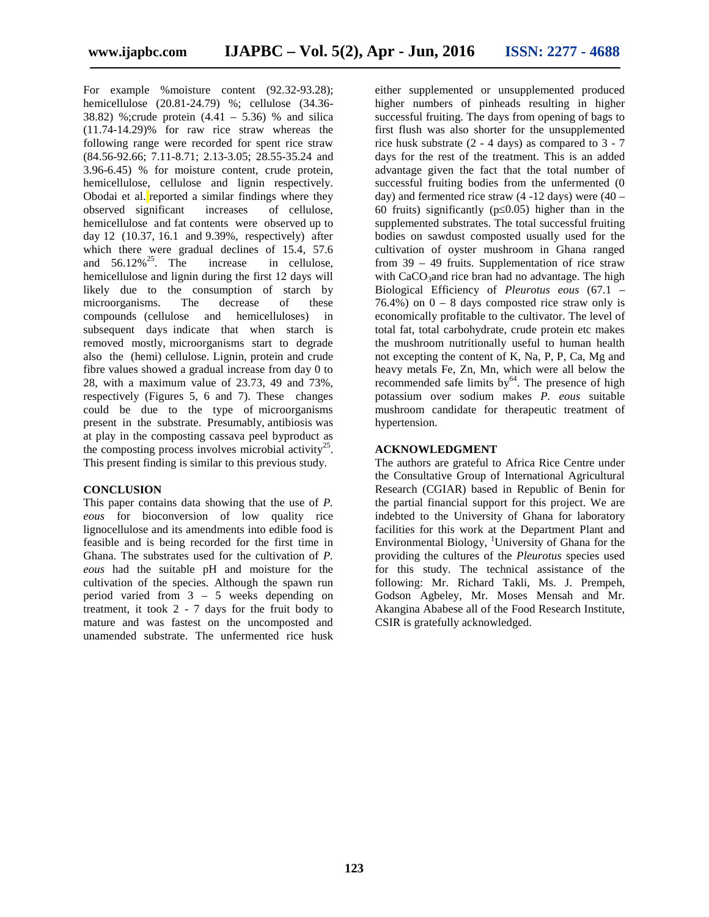For example %moisture content (92.32-93.28); hemicellulose (20.81-24.79) %; cellulose (34.36- 38.82) %;crude protein (4.41 – 5.36) % and silica (11.74-14.29)% for raw rice straw whereas the following range were recorded for spent rice straw (84.56-92.66; 7.11-8.71; 2.13-3.05; 28.55-35.24 and 3.96-6.45) % for moisture content, crude protein, hemicellulose, cellulose and lignin respectively. Obodai et al. reported a similar findings where they observed significant increases of cellulose, observed significant increases of cellulose, hemicellulose and fat contents were observed up to day 12 (10.37, 16.1 and 9.39%, respectively) after which there were gradual declines of 15.4, 57.6 and  $56.12\%^{25}$ . The increase in cellulose, hemicellulose and lignin during the first 12 days will likely due to the consumption of starch by microorganisms. The decrease of these compounds (cellulose and hemicelluloses) in subsequent days indicate that when starch is removed mostly, microorganisms start to degrade also the (hemi) cellulose. Lignin, protein and crude fibre values showed a gradual increase from day 0 to 28, with a maximum value of 23.73, 49 and 73%, respectively (Figures 5, 6 and 7). These changes could be due to the type of microorganisms present in the substrate. Presumably, antibiosis was at play in the composting cassava peel byproduct as the composting process involves microbial activity<sup>25</sup>. This present finding is similar to this previous study.

#### **CONCLUSION**

This paper contains data showing that the use of *P. eous* for bioconversion of low quality rice lignocellulose and its amendments into edible food is feasible and is being recorded for the first time in Ghana. The substrates used for the cultivation of *P. eous* had the suitable pH and moisture for the cultivation of the species. Although the spawn run period varied from 3 – 5 weeks depending on treatment, it took 2 - 7 days for the fruit body to mature and was fastest on the uncomposted and unamended substrate. The unfermented rice husk

either supplemented or unsupplemented produced higher numbers of pinheads resulting in higher successful fruiting. The days from opening of bags to first flush was also shorter for the unsupplemented rice husk substrate (2 - 4 days) as compared to 3 - 7 days for the rest of the treatment. This is an added advantage given the fact that the total number of successful fruiting bodies from the unfermented (0 day) and fermented rice straw  $(4 - 12$  days) were  $(40 -$ 60 fruits) significantly (p≤0.05) higher than in the supplemented substrates. The total successful fruiting bodies on sawdust composted usually used for the cultivation of oyster mushroom in Ghana ranged from 39 – 49 fruits. Supplementation of rice straw with  $CaCO<sub>3</sub>$  and rice bran had no advantage. The high Biological Efficiency of *Pleurotus eous* (67.1 – 76.4%) on  $0 - 8$  days composted rice straw only is economically profitable to the cultivator. The level of total fat, total carbohydrate, crude protein etc makes the mushroom nutritionally useful to human health not excepting the content of K, Na, P, P, Ca, Mg and heavy metals Fe, Zn, Mn, which were all below the recommended safe limits  $by<sup>64</sup>$ . The presence of high potassium over sodium makes *P. eous* suitable mushroom candidate for therapeutic treatment of hypertension.

#### **ACKNOWLEDGMENT**

The authors are grateful to Africa Rice Centre under the Consultative Group of International Agricultural Research (CGIAR) based in Republic of Benin for the partial financial support for this project. We are indebted to the University of Ghana for laboratory facilities for this work at the Department Plant and Environmental Biology, <sup>1</sup>University of Ghana for the providing the cultures of the *Pleurotus* species used for this study. The technical assistance of the following: Mr. Richard Takli, Ms. J. Prempeh, Godson Agbeley, Mr. Moses Mensah and Mr. Akangina Ababese all of the Food Research Institute, CSIR is gratefully acknowledged.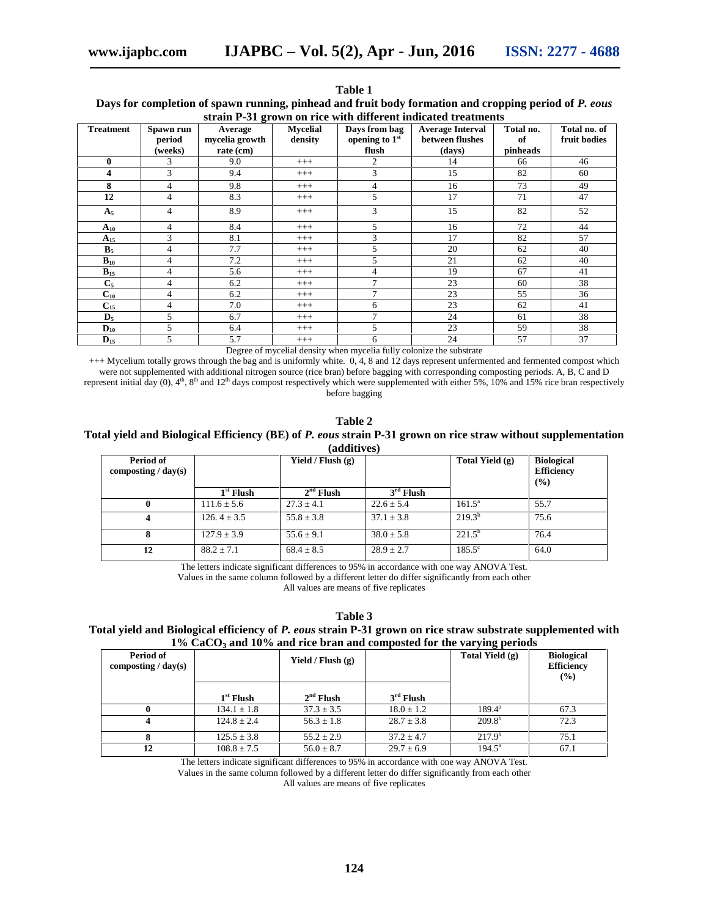|                         | strain P-31 grown on rice with different indicated treatments |                                        |                            |                                          |                                                      |                             |                              |  |  |  |  |  |
|-------------------------|---------------------------------------------------------------|----------------------------------------|----------------------------|------------------------------------------|------------------------------------------------------|-----------------------------|------------------------------|--|--|--|--|--|
| Treatment               | Spawn run<br>period<br>(weeks)                                | Average<br>mycelia growth<br>rate (cm) | <b>Mycelial</b><br>density | Days from bag<br>opening to 1st<br>flush | <b>Average Interval</b><br>between flushes<br>(days) | Total no.<br>of<br>pinheads | Total no. of<br>fruit bodies |  |  |  |  |  |
| $\bf{0}$                | 3                                                             | 9.0                                    | $+++$                      | 2                                        | 14                                                   | 66                          | 46                           |  |  |  |  |  |
| $\overline{\mathbf{4}}$ | 3                                                             | 9.4                                    | $^{+++}$                   | 3                                        | 15                                                   | 82                          | 60                           |  |  |  |  |  |
| 8                       | $\overline{4}$                                                | 9.8                                    | $+++$                      | 4                                        | 16                                                   | 73                          | 49                           |  |  |  |  |  |
| 12                      | $\overline{4}$                                                | 8.3                                    | $^{+++}$                   | 5                                        | 17                                                   | 71                          | 47                           |  |  |  |  |  |
| A <sub>5</sub>          | $\overline{4}$                                                | 8.9                                    | $+++$                      | 3                                        | 15                                                   | 82                          | 52                           |  |  |  |  |  |
| $A_{10}$                | 4                                                             | 8.4                                    | $^{+++}$                   | 5                                        | 16                                                   | 72                          | 44                           |  |  |  |  |  |
| $A_{15}$                | 3                                                             | 8.1                                    | $^{+++}$                   | 3                                        | 17                                                   | 82                          | 57                           |  |  |  |  |  |
| B <sub>5</sub>          | $\overline{4}$                                                | 7.7                                    | $+++$                      | 5                                        | 20                                                   | 62                          | 40                           |  |  |  |  |  |
| $B_{10}$                | 4                                                             | 7.2                                    | $+++$                      | 5                                        | 21                                                   | 62                          | 40                           |  |  |  |  |  |
| $B_{15}$                | $\overline{4}$                                                | 5.6                                    | $+++$                      | 4                                        | 19                                                   | 67                          | 41                           |  |  |  |  |  |
| $C_5$                   | 4                                                             | 6.2                                    | $+++$                      | 7                                        | 23                                                   | 60                          | 38                           |  |  |  |  |  |
| $C_{10}$                | $\overline{4}$                                                | 6.2                                    | $+++$                      | 7                                        | 23                                                   | 55                          | 36                           |  |  |  |  |  |
| $C_{15}$                | 4                                                             | 7.0                                    | $+++$                      | 6                                        | 23                                                   | 62                          | 41                           |  |  |  |  |  |
| $\mathbf{D}_5$          | 5                                                             | 6.7                                    | $+++$                      | 7                                        | 24                                                   | 61                          | 38                           |  |  |  |  |  |
| $D_{10}$                | 5                                                             | 6.4                                    | $^{+++}$                   | 5                                        | 23                                                   | 59                          | 38                           |  |  |  |  |  |
| $\mathbf{D}_{15}$       | 5                                                             | 5.7                                    | $^{+++}$                   | 6                                        | 24                                                   | 57                          | 37                           |  |  |  |  |  |

**Table 1 Days for completion of spawn running, pinhead and fruit body formation and cropping period of** *P. eous*

Degree of mycelial density when mycelia fully colonize the substrate

+++ Mycelium totally grows through the bag and is uniformly white. 0, 4, 8 and 12 days represent unfermented and fermented compost which were not supplemented with additional nitrogen source (rice bran) before bagging with corresponding composting periods. A, B, C and D represent initial day  $(0)$ ,  $4<sup>th</sup>$ ,  $8<sup>th</sup>$  and  $12<sup>th</sup>$  days compost respectively which were supplemented with either 5%, 10% and 15% rice bran respectively before bagging

#### **Table 2 Total yield and Biological Efficiency (BE) of** *P. eous* **strain P-31 grown on rice straw without supplementation (additives)**

| Period of<br>composting / $day(s)$ |                 | Yield / Flush $(g)$ |                | Total Yield (g) | <b>Biological</b><br><b>Efficiency</b><br>(%) |
|------------------------------------|-----------------|---------------------|----------------|-----------------|-----------------------------------------------|
|                                    | $1st$ Flush     | $2nd$ Flush         | $3rd$ Flush    |                 |                                               |
|                                    | $111.6 \pm 5.6$ | $27.3 \pm 4.1$      | $22.6 \pm 5.4$ | $161.5^a$       | 55.7                                          |
| 4                                  | $126.4 + 3.5$   | $55.8 \pm 3.8$      | $37.1 \pm 3.8$ | $219.3^{b}$     | 75.6                                          |
| 8                                  | $127.9 + 3.9$   | $55.6 + 9.1$        | $38.0 \pm 5.8$ | $221.5^{\circ}$ | 76.4                                          |
| 12                                 | $88.2 + 7.1$    | $68.4 \pm 8.5$      | $28.9 \pm 2.7$ | $185.5^{\circ}$ | 64.0                                          |

The letters indicate significant differences to 95% in accordance with one way ANOVA Test.

Values in the same column followed by a different letter do differ significantly from each other All values are means of five replicates

**Table 3**

#### **Total yield and Biological efficiency of** *P. eous* **strain P-31 grown on rice straw substrate supplemented with 1% CaCO<sup>3</sup> and 10% and rice bran and composted for the varying periods**

| Period of<br>composting / $day(s)$ |                 | Yield / Flush $(g)$ |                | Total Yield $(g)$ | <b>Biological</b><br><b>Efficiency</b><br>(%) |  |
|------------------------------------|-----------------|---------------------|----------------|-------------------|-----------------------------------------------|--|
|                                    | $1st$ Flush     | $2nd$ Flush         | $3rd$ Flush    |                   |                                               |  |
|                                    | $134.1 \pm 1.8$ | $37.3 \pm 3.5$      | $18.0 \pm 1.2$ | $189.4^{\circ}$   | 67.3                                          |  |
|                                    | $124.8 \pm 2.4$ | $56.3 \pm 1.8$      | $28.7 \pm 3.8$ | $209.8^{b}$       | 72.3                                          |  |
|                                    | $125.5 \pm 3.8$ | $55.2 \pm 2.9$      | $37.2 \pm 4.7$ | $217.9^{b}$       | 75.1                                          |  |
| 12                                 | $108.8 \pm 7.5$ | $56.0 \pm 8.7$      | $29.7 \pm 6.9$ | $194.5^{\circ}$   | 67.1                                          |  |

The letters indicate significant differences to 95% in accordance with one way ANOVA Test.

Values in the same column followed by a different letter do differ significantly from each other All values are means of five replicates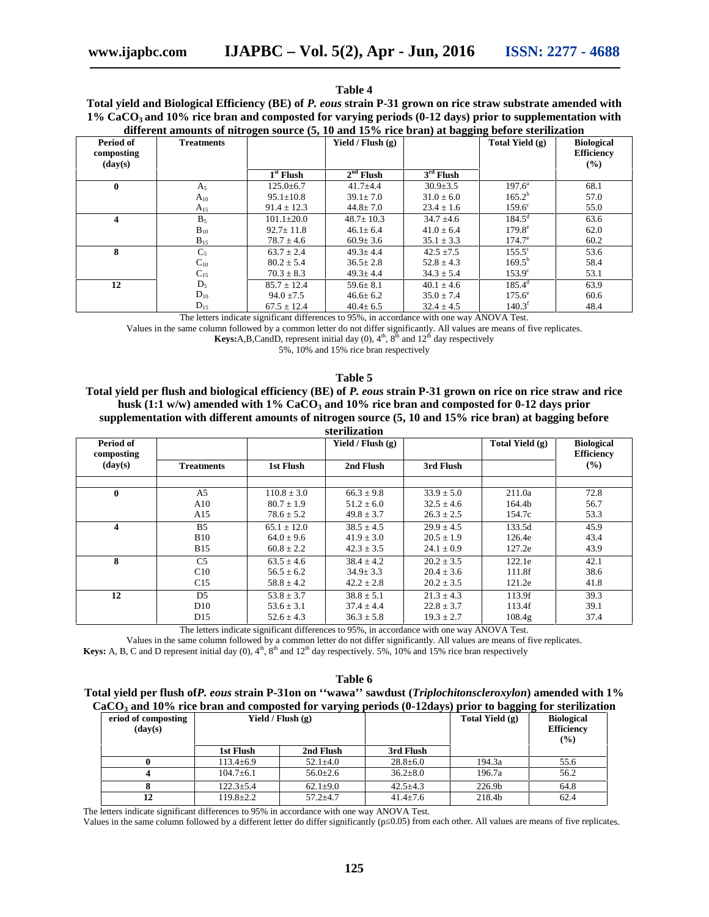#### **Table 4**

**Total yield and Biological Efficiency (BE) of** *P. eous* **strain P-31 grown on rice straw substrate amended with 1% CaCO<sup>3</sup> and 10% rice bran and composted for varying periods (0-12 days) prior to supplementation with different amounts of nitrogen source (5, 10 and 15% rice bran) at bagging before sterilization**

| Period of<br>composting<br>$(\mathbf{day}(\mathbf{s}))$ | <b>Treatments</b> | Yield / Flush $(g)$ |                 |                |                 | <b>Biological</b><br><b>Efficiency</b><br>$($ %) |
|---------------------------------------------------------|-------------------|---------------------|-----------------|----------------|-----------------|--------------------------------------------------|
|                                                         |                   | $1st$ Flush         | $2nd$ Flush     | $3rd$ Flush    |                 |                                                  |
| 0                                                       | $A_5$             | $125.0 \pm 6.7$     | $41.7 + 4.4$    | $30.9 \pm 3.5$ | $197.6^a$       | 68.1                                             |
|                                                         | $A_{10}$          | $95.1 \pm 10.8$     | $39.1 \pm 7.0$  | $31.0 \pm 6.0$ | $165.2^{\rm b}$ | 57.0                                             |
|                                                         | $A_{15}$          | $91.4 \pm 12.3$     | $44.8 \pm 7.0$  | $23.4 \pm 1.6$ | $159.6^{\circ}$ | 55.0                                             |
| 4                                                       | $B_5$             | $101.1 \pm 20.0$    | $48.7 \pm 10.3$ | $34.7 \pm 4.6$ | $184.5^{\rm d}$ | 63.6                                             |
|                                                         | $B_{10}$          | $92.7 \pm 11.8$     | $46.1 \pm 6.4$  | $41.0 \pm 6.4$ | $179.8^e$       | 62.0                                             |
|                                                         | $B_{15}$          | $78.7 \pm 4.6$      | $60.9 \pm 3.6$  | $35.1 \pm 3.3$ | $174.7^{\circ}$ | 60.2                                             |
| 8                                                       | $C_5$             | $63.7 \pm 2.4$      | $49.3 + 4.4$    | $42.5 + 7.5$   | $155.5^{\circ}$ | 53.6                                             |
|                                                         | $C_{10}$          | $80.2 \pm 5.4$      | $36.5 \pm 2.8$  | $52.8 \pm 4.3$ | $169.5^{\rm b}$ | 58.4                                             |
|                                                         | $C_{15}$          | $70.3 \pm 8.3$      | $49.3 \pm 4.4$  | $34.3 \pm 5.4$ | $153.9^{\circ}$ | 53.1                                             |
| 12                                                      | $D_5$             | $85.7 \pm 12.4$     | $59.6 \pm 8.1$  | $40.1 \pm 4.6$ | $185.4^d$       | 63.9                                             |
|                                                         | $D_{10}$          | $94.0 \pm 7.5$      | $46.6 \pm 6.2$  | $35.0 \pm 7.4$ | $175.6^{\circ}$ | 60.6                                             |
|                                                         | $D_{15}$          | $67.5 \pm 12.4$     | $40.4 \pm 6.5$  | $32.4 \pm 4.5$ | $140.3^t$       | 48.4                                             |

The letters indicate significant differences to 95%, in accordance with one way ANOVA Test.

Values in the same column followed by a common letter do not differ significantly. All values are means of five replicates.

**Keys:**A,B,CandD, represent initial day  $(0)$ ,  $4<sup>th</sup>$ ,  $8<sup>th</sup>$  and  $12<sup>th</sup>$  day respectively

5%, 10% and 15% rice bran respectively

#### **Table 5**

**Total yield per flush and biological efficiency (BE) of** *P. eous* **strain P-31 grown on rice on rice straw and rice husk (1:1 w/w) amended with 1% CaCO<sup>3</sup> and 10% rice bran and composted for 0-12 days prior supplementation with different amounts of nitrogen source (5, 10 and 15% rice bran) at bagging before sterilization**

|                         | менимации         |                 |                     |                |                   |                                        |  |  |  |  |  |
|-------------------------|-------------------|-----------------|---------------------|----------------|-------------------|----------------------------------------|--|--|--|--|--|
| Period of<br>composting |                   |                 | Yield / Flush $(g)$ |                | Total Yield $(g)$ | <b>Biological</b><br><b>Efficiency</b> |  |  |  |  |  |
| $(\mathbf{day}(s))$     | <b>Treatments</b> | 1st Flush       | 2nd Flush           | 3rd Flush      |                   | $($ %)                                 |  |  |  |  |  |
|                         |                   |                 |                     |                |                   |                                        |  |  |  |  |  |
| 0                       | A5                | $110.8 \pm 3.0$ | $66.3 \pm 9.8$      | $33.9 \pm 5.0$ | 211.0a            | 72.8                                   |  |  |  |  |  |
|                         | A10               | $80.7 \pm 1.9$  | $51.2 \pm 6.0$      | $32.5 \pm 4.6$ | 164.4b            | 56.7                                   |  |  |  |  |  |
|                         | A15               | $78.6 \pm 5.2$  | $49.8 \pm 3.7$      | $26.3 \pm 2.5$ | 154.7c            | 53.3                                   |  |  |  |  |  |
| $\overline{\mathbf{4}}$ | B <sub>5</sub>    | $65.1 \pm 12.0$ | $38.5 \pm 4.5$      | $29.9 \pm 4.5$ | 133.5d            | 45.9                                   |  |  |  |  |  |
|                         | <b>B</b> 10       | $64.0 \pm 9.6$  | $41.9 \pm 3.0$      | $20.5 \pm 1.9$ | 126.4e            | 43.4                                   |  |  |  |  |  |
|                         | <b>B</b> 15       | $60.8 \pm 2.2$  | $42.3 \pm 3.5$      | $24.1 \pm 0.9$ | 127.2e            | 43.9                                   |  |  |  |  |  |
| 8                       | C <sub>5</sub>    | $63.5 \pm 4.6$  | $38.4 \pm 4.2$      | $20.2 \pm 3.5$ | 122.1e            | 42.1                                   |  |  |  |  |  |
|                         | C10               | $56.5 \pm 6.2$  | $34.9 \pm 3.3$      | $20.4 \pm 3.6$ | 111.8f            | 38.6                                   |  |  |  |  |  |
|                         | C15               | $58.8 \pm 4.2$  | $42.2 \pm 2.8$      | $20.2 \pm 3.5$ | 121.2e            | 41.8                                   |  |  |  |  |  |
| 12                      | D <sub>5</sub>    | $53.8 \pm 3.7$  | $38.8 \pm 5.1$      | $21.3 + 4.3$   | 113.9f            | 39.3                                   |  |  |  |  |  |
|                         | D <sub>10</sub>   | $53.6 \pm 3.1$  | $37.4 \pm 4.4$      | $22.8 \pm 3.7$ | 113.4f            | 39.1                                   |  |  |  |  |  |
|                         | D <sub>15</sub>   | $52.6 \pm 4.3$  | $36.3 \pm 5.8$      | $19.3 \pm 2.7$ | 108.4g            | 37.4                                   |  |  |  |  |  |

The letters indicate significant differences to 95%, in accordance with one way ANOVA Test.

Values in the same column followed by a common letter do not differ significantly. All values are means of five replicates.

**Keys:** A, B, C and D represent initial day  $(0)$ ,  $4^{\text{th}}$ ,  $8^{\text{th}}$  and  $12^{\text{th}}$  day respectively. 5%,  $10\%$  and 15% rice bran respectively

| Table 6                                                                                                   |
|-----------------------------------------------------------------------------------------------------------|
| Total yield per flush ofP. eous strain P-31on on "wawa" sawdust (Triplochitonscleroxylon) amended with 1% |
| $CaCO3$ and 10% rice bran and composted for varying periods (0-12days) prior to bagging for sterilization |

|                 | Yield / Flush $(g)$ |                | Total Yield (g) | <b>Biological</b><br><b>Efficiency</b><br>(%) |  |
|-----------------|---------------------|----------------|-----------------|-----------------------------------------------|--|
| 1st Flush       | 2nd Flush           | 3rd Flush      |                 |                                               |  |
| $113.4 \pm 6.9$ | $52.1 \pm 4.0$      | $28.8 \pm 6.0$ | 194.3a          | 55.6                                          |  |
| $104.7 \pm 6.1$ | $56.0 \pm 2.6$      | $36.2 \pm 8.0$ | 196.7a          | 56.2                                          |  |
| $122.3 \pm 5.4$ | $62.1 \pm 9.0$      | $42.5 \pm 4.3$ | 226.9b          | 64.8                                          |  |
| $119.8 \pm 2.2$ | $57.2 + 4.7$        | $41.4 \pm 7.6$ | 218.4b          | 62.4                                          |  |
|                 |                     |                |                 |                                               |  |

The letters indicate significant differences to 95% in accordance with one way ANOVA Test.

Values in the same column followed by a different letter do differ significantly (p 0.05) from each other. All values are means of five replicates.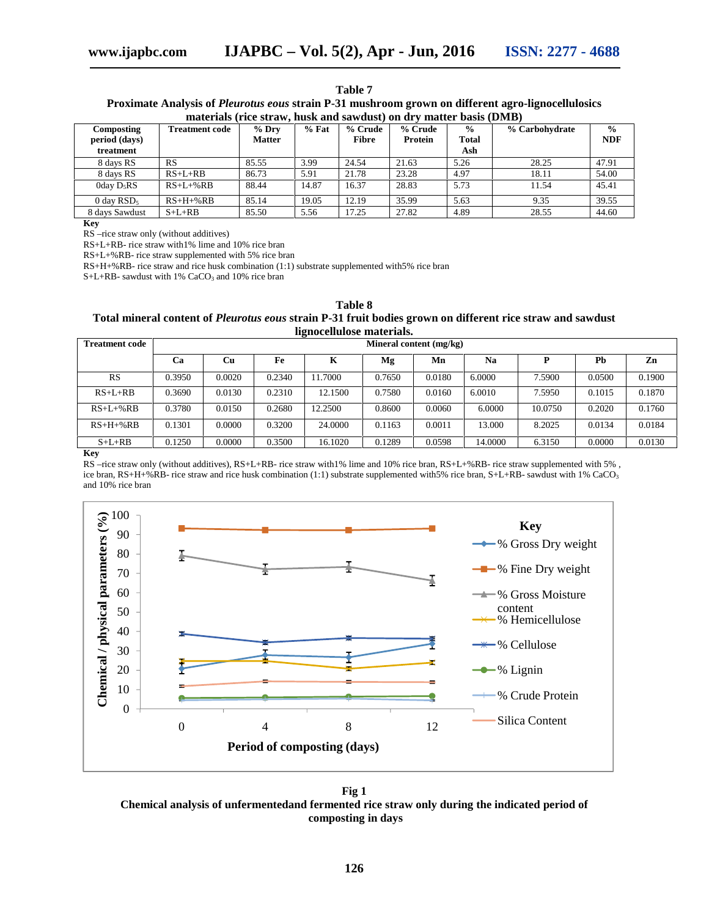| Table 7                                                                                                   |
|-----------------------------------------------------------------------------------------------------------|
| Proximate Analysis of <i>Pleurotus eous</i> strain P-31 mushroom grown on different agro-lignocellulosics |
| materials (rice straw, husk and sawdust) on dry matter basis (DMB)                                        |

| Composting<br>period (days)<br>treatment | <b>Treatment code</b> | $%$ Dry<br><b>Matter</b> | $%$ Fat | % Crude<br><b>Fibre</b> | % Crude<br>Protein | $\frac{0}{0}$<br>Total<br>Ash | % Carbohydrate | $\frac{0}{0}$<br><b>NDF</b> |
|------------------------------------------|-----------------------|--------------------------|---------|-------------------------|--------------------|-------------------------------|----------------|-----------------------------|
| 8 days RS                                | <b>RS</b>             | 85.55                    | 3.99    | 24.54                   | 21.63              | 5.26                          | 28.25          | 47.91                       |
| 8 days RS                                | $RS+L+RB$             | 86.73                    | 5.91    | 21.78                   | 23.28              | 4.97                          | 18.11          | 54.00                       |
| 0day $D_5RS$                             | $RS+L+%RB$            | 88.44                    | 14.87   | 16.37                   | 28.83              | 5.73                          | 11.54          | 45.41                       |
| 0 day $RSD5$                             | $RS+H+%RB$            | 85.14                    | 19.05   | 12.19                   | 35.99              | 5.63                          | 9.35           | 39.55                       |
| 8 days Sawdust                           | $S+L+RB$              | 85.50                    | 5.56    | 17.25                   | 27.82              | 4.89                          | 28.55          | 44.60                       |

**Key**

RS –rice straw only (without additives)

RS+L+RB- rice straw with1% lime and 10% rice bran

RS+L+%RB- rice straw supplemented with 5% rice bran

RS+H+%RB- rice straw and rice husk combination (1:1) substrate supplemented with5% rice bran

S+L+RB- sawdust with 1% CaCO<sub>3</sub> and 10% rice bran

| Table 8                                                                                                           |
|-------------------------------------------------------------------------------------------------------------------|
| Total mineral content of <i>Pleurotus eous</i> strain P-31 fruit bodies grown on different rice straw and sawdust |
| lignocellulose materials.                                                                                         |

| <b>Treatment code</b> | Mineral content (mg/kg) |        |        |         |        |        |         |         |        |        |
|-----------------------|-------------------------|--------|--------|---------|--------|--------|---------|---------|--------|--------|
|                       | Ca                      | Cu     | Fe     | K       | Mg     | Mn     | Na      |         | Pb     | Zn     |
| RS                    | 0.3950                  | 0.0020 | 0.2340 | 11.7000 | 0.7650 | 0.0180 | 6.0000  | 7.5900  | 0.0500 | 0.1900 |
| $RS+L+RB$             | 0.3690                  | 0.0130 | 0.2310 | 12.1500 | 0.7580 | 0.0160 | 6.0010  | 7.5950  | 0.1015 | 0.1870 |
| $RS+L+%RB$            | 0.3780                  | 0.0150 | 0.2680 | 12.2500 | 0.8600 | 0.0060 | 6.0000  | 10.0750 | 0.2020 | 0.1760 |
| $R S+H+% R B$         | 0.1301                  | 0.0000 | 0.3200 | 24,0000 | 0.1163 | 0.0011 | 13.000  | 8.2025  | 0.0134 | 0.0184 |
| $S+L+RB$              | 0.1250                  | 0.0000 | 0.3500 | 16.1020 | 0.1289 | 0.0598 | 14.0000 | 6.3150  | 0.0000 | 0.0130 |

**Key**

RS –rice straw only (without additives), RS+L+RB- rice straw with1% lime and 10% rice bran, RS+L+%RB- rice straw supplemented with 5% , ice bran, RS+H+%RB- rice straw and rice husk combination (1:1) substrate supplemented with5% rice bran, S+L+RB- sawdust with 1% CaCO<sub>3</sub> and 10% rice bran



**Fig 1 Chemical analysis of unfermentedand fermented rice straw only during the indicated period of composting in days**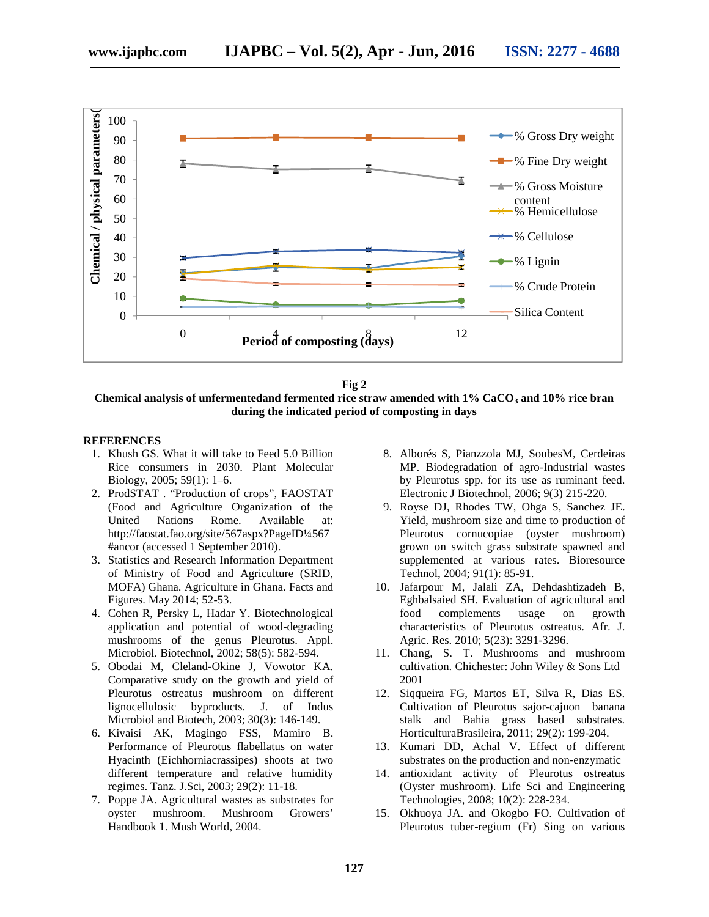



**Chemical analysis of unfermentedand fermented rice straw amended with 1% CaCO<sup>3</sup> and 10% rice bran during the indicated period of composting in days**

#### **REFERENCES**

- 1. Khush GS. What it will take to Feed 5.0 Billion Rice consumers in 2030. Plant Molecular Biology, 2005; 59(1): 1–6.
- 2. ProdSTAT . "Production of crops", FAOSTAT (Food and Agriculture Organization of the United Nations Rome. Available at: http://faostat.fao.org/site/567aspx?PageID¼567 #ancor (accessed 1 September 2010).
- 3. Statistics and Research Information Department of Ministry of Food and Agriculture (SRID, MOFA) Ghana. Agriculture in Ghana. Facts and Figures. May 2014; 52-53.
- 4. Cohen R, Persky L, Hadar Y. Biotechnological application and potential of wood-degrading mushrooms of the genus Pleurotus. Appl. Microbiol. Biotechnol, 2002; 58(5): 582-594.
- 5. Obodai M, Cleland-Okine J, Vowotor KA. Comparative study on the growth and yield of Pleurotus ostreatus mushroom on different lignocellulosic byproducts. J. of Indus Microbiol and Biotech, 2003; 30(3): 146-149.
- 6. Kivaisi AK, Magingo FSS, Mamiro B. Performance of Pleurotus flabellatus on water Hyacinth (Eichhorniacrassipes) shoots at two different temperature and relative humidity 14. regimes. Tanz. J.Sci, 2003; 29(2): 11-18.
- 7. Poppe JA. Agricultural wastes as substrates for oyster mushroom. Mushroom Growers' Handbook 1. Mush World, 2004.
- 8. Alborés S, Pianzzola MJ, SoubesM, Cerdeiras MP. Biodegradation of agro-Industrial wastes by Pleurotus spp. for its use as ruminant feed. Electronic J Biotechnol, 2006; 9(3) 215-220.
- 9. Royse DJ, Rhodes TW, Ohga S, Sanchez JE. Yield, mushroom size and time to production of Pleurotus cornucopiae (oyster mushroom) grown on switch grass substrate spawned and supplemented at various rates. Bioresource Technol, 2004; 91(1): 85-91.
- 10. Jafarpour M, Jalali ZA, Dehdashtizadeh B, Eghbalsaied SH. Evaluation of agricultural and food complements usage on growth characteristics of Pleurotus ostreatus. Afr. J. Agric. Res. 2010; 5(23): 3291-3296.
- 11. Chang, S. T. Mushrooms and mushroom cultivation. Chichester: John Wiley & Sons Ltd 2001
- 12. Siqqueira FG, Martos ET, Silva R, Dias ES. Cultivation of Pleurotus sajor-cajuon banana stalk and Bahia grass based substrates. HorticulturaBrasileira, 2011; 29(2): 199-204.
- 13. Kumari DD, Achal V. Effect of different substrates on the production and non-enzymatic
- 14. antioxidant activity of Pleurotus ostreatus (Oyster mushroom). Life Sci and Engineering Technologies, 2008; 10(2): 228-234.
- 15. Okhuoya JA. and Okogbo FO. Cultivation of Pleurotus tuber-regium (Fr) Sing on various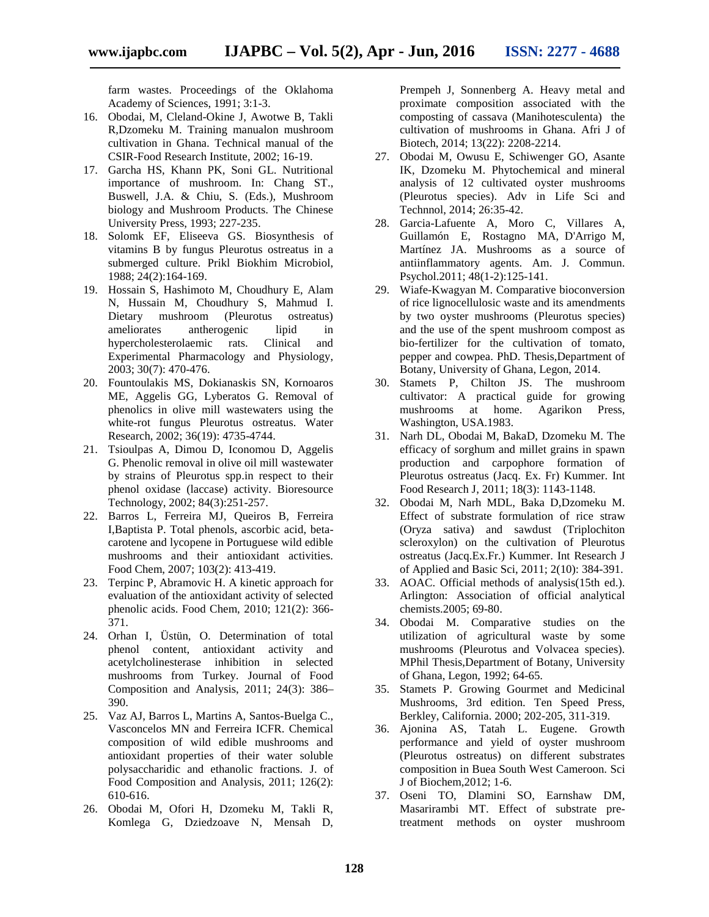farm wastes. Proceedings of the Oklahoma Academy of Sciences, 1991; 3:1-3.

- 16. Obodai, M, Cleland-Okine J, Awotwe B, Takli R,Dzomeku M. Training manualon mushroom cultivation in Ghana. Technical manual of the CSIR-Food Research Institute, 2002; 16-19.
- 17. Garcha HS, Khann PK, Soni GL. Nutritional importance of mushroom. In: Chang ST., Buswell, J.A. & Chiu, S. (Eds.), Mushroom biology and Mushroom Products. The Chinese University Press, 1993; 227-235.
- 18. Solomk EF, Eliseeva GS. Biosynthesis of vitamins B by fungus Pleurotus ostreatus in a submerged culture. Prikl Biokhim Microbiol, 1988; 24(2):164-169.
- 19. Hossain S, Hashimoto M, Choudhury E, Alam N, Hussain M, Choudhury S, Mahmud I. Dietary mushroom (Pleurotus ostreatus) ameliorates antherogenic lipid in hypercholesterolaemic rats. Clinical and Experimental Pharmacology and Physiology, 2003; 30(7): 470-476.
- 20. Fountoulakis MS, Dokianaskis SN, Kornoaros ME, Aggelis GG, Lyberatos G. Removal of phenolics in olive mill wastewaters using the white-rot fungus Pleurotus ostreatus. Water Research, 2002; 36(19): 4735-4744.
- 21. Tsioulpas A, Dimou D, Iconomou D, Aggelis G. Phenolic removal in olive oil mill wastewater by strains of Pleurotus spp.in respect to their phenol oxidase (laccase) activity. Bioresource Technology, 2002; 84(3):251-257.
- 22. Barros L, Ferreira MJ, Queiros B, Ferreira I,Baptista P. Total phenols, ascorbic acid, beta carotene and lycopene in Portuguese wild edible mushrooms and their antioxidant activities. Food Chem, 2007; 103(2): 413-419.
- 23. Terpinc P, Abramovic H. A kinetic approach for evaluation of the antioxidant activity of selected phenolic acids. Food Chem, 2010; 121(2): 366- 371.
- 24. Orhan I, Üstün, O. Determination of total phenol content, antioxidant activity and acetylcholinesterase inhibition in selected mushrooms from Turkey. Journal of Food Composition and Analysis, 2011; 24(3): 386– 390.
- 25. Vaz AJ, Barros L, Martins A, Santos-Buelga C., Vasconcelos MN and Ferreira ICFR. Chemical composition of wild edible mushrooms and antioxidant properties of their water soluble polysaccharidic and ethanolic fractions. J. of Food Composition and Analysis, 2011; 126(2): 610-616.
- 26. Obodai M, Ofori H, Dzomeku M, Takli R, Komlega G, Dziedzoave N, Mensah D,

Prempeh J, Sonnenberg A. Heavy metal and proximate composition associated with the composting of cassava (Manihotesculenta) the cultivation of mushrooms in Ghana. Afri J of Biotech, 2014; 13(22): 2208-2214.

- 27. Obodai M, Owusu E, Schiwenger GO, Asante IK, Dzomeku M. Phytochemical and mineral analysis of 12 cultivated oyster mushrooms (Pleurotus species). Adv in Life Sci and Technnol, 2014; 26:35-42.
- 28. Garcia-Lafuente A, Moro C, Villares A, Guillamón E, Rostagno MA, D'Arrigo M, Martínez JA. Mushrooms as a source of antiinflammatory agents. Am. J. Commun. Psychol.2011; 48(1-2):125-141.
- 29. Wiafe-Kwagyan M. Comparative bioconversion of rice lignocellulosic waste and its amendments by two oyster mushrooms (Pleurotus species) and the use of the spent mushroom compost as bio-fertilizer for the cultivation of tomato, pepper and cowpea. PhD. Thesis,Department of Botany, University of Ghana, Legon, 2014.
- 30. Stamets P, Chilton JS. The mushroom cultivator: A practical guide for growing mushrooms at home. Agarikon Press, Washington, USA.1983.
- 31. Narh DL, Obodai M, BakaD, Dzomeku M. The efficacy of sorghum and millet grains in spawn production and carpophore formation of Pleurotus ostreatus (Jacq. Ex. Fr) Kummer. Int Food Research J, 2011; 18(3): 1143-1148.
- 32. Obodai M, Narh MDL, Baka D,Dzomeku M. Effect of substrate formulation of rice straw (Oryza sativa) and sawdust (Triplochiton scleroxylon) on the cultivation of Pleurotus ostreatus (Jacq.Ex.Fr.) Kummer. Int Research J of Applied and Basic Sci, 2011; 2(10): 384-391.
- 33. AOAC. Official methods of analysis(15th ed.). Arlington: Association of official analytical chemists.2005; 69-80.
- 34. Obodai M. Comparative studies on the utilization of agricultural waste by some mushrooms (Pleurotus and Volvacea species). MPhil Thesis,Department of Botany, University of Ghana, Legon, 1992; 64-65.
- 35. Stamets P. Growing Gourmet and Medicinal Mushrooms, 3rd edition. Ten Speed Press, Berkley, California. 2000; 202-205, 311-319.
- 36. Ajonina AS, Tatah L. Eugene. Growth performance and yield of oyster mushroom (Pleurotus ostreatus) on different substrates composition in Buea South West Cameroon. Sci J of Biochem,2012; 1-6.
- 37. Oseni TO, Dlamini SO, Earnshaw DM, Masarirambi MT. Effect of substrate pretreatment methods on oyster mushroom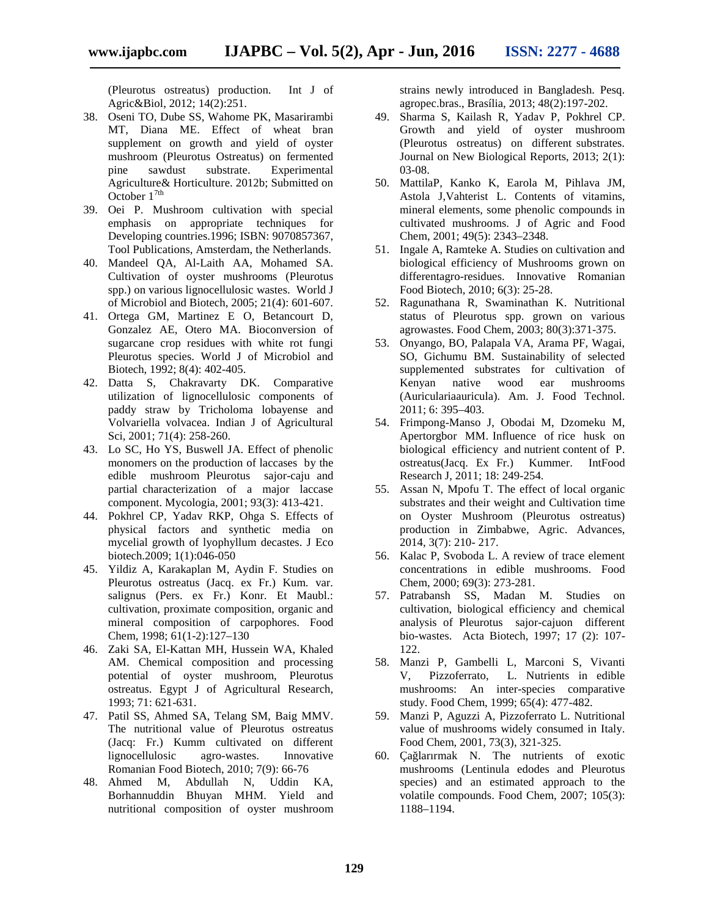(Pleurotus ostreatus) production. Int J of Agric&Biol, 2012; 14(2):251.

- 38. Oseni TO, Dube SS, Wahome PK, Masarirambi MT, Diana ME. Effect of wheat bran supplement on growth and yield of oyster mushroom (Pleurotus Ostreatus) on fermented pine sawdust substrate. Experimental Agriculture& Horticulture. 2012b; Submitted on October  $1^{7th}$
- 39. Oei P. Mushroom cultivation with special emphasis on appropriate techniques for Developing countries.1996; ISBN: 9070857367, Tool Publications, Amsterdam, the Netherlands.
- 40. Mandeel QA, Al-Laith AA, Mohamed SA. Cultivation of oyster mushrooms (Pleurotus spp.) on various lignocellulosic wastes. World J of Microbiol and Biotech, 2005; 21(4): 601-607.
- 41. Ortega GM, Martinez E O, Betancourt D, Gonzalez AE, Otero MA. Bioconversion of sugarcane crop residues with white rot fungi Pleurotus species. World J of Microbiol and Biotech, 1992; 8(4): 402-405.
- 42. Datta S, Chakravarty DK. Comparative utilization of lignocellulosic components of paddy straw by Tricholoma lobayense and Volvariella volvacea. Indian J of Agricultural Sci, 2001; 71(4): 258-260.
- 43. Lo SC, Ho YS, Buswell JA. Effect of phenolic monomers on the production of laccases by the edible mushroom Pleurotus sajor-caju and partial characterization of a major laccase component. Mycologia, 2001; 93(3): 413-421.
- 44. Pokhrel CP, Yadav RKP, Ohga S. Effects of physical factors and synthetic media on mycelial growth of lyophyllum decastes. J Eco biotech.2009; 1(1):046-050
- 45. Yildiz A, Karakaplan M, Aydin F. Studies on Pleurotus ostreatus (Jacq. ex Fr.) Kum. var. salignus (Pers. ex Fr.) Konr. Et Maubl.: cultivation, proximate composition, organic and mineral composition of carpophores. Food Chem, 1998; 61(1-2):127–130
- 46. Zaki SA, El-Kattan MH, Hussein WA, Khaled AM. Chemical composition and processing potential of oyster mushroom, Pleurotus ostreatus. Egypt J of Agricultural Research, 1993; 71: 621-631.
- 47. Patil SS, Ahmed SA, Telang SM, Baig MMV. The nutritional value of Pleurotus ostreatus (Jacq: Fr.) Kumm cultivated on different lignocellulosic agro-wastes. Innovative Romanian Food Biotech, 2010; 7(9): 66-76
- 48. Ahmed M, Abdullah N, Uddin KA, Borhannuddin Bhuyan MHM. Yield and nutritional composition of oyster mushroom

strains newly introduced in Bangladesh. Pesq. agropec.bras., Brasília, 2013; 48(2):197-202.

- 49. Sharma S, Kailash R, Yadav P, Pokhrel CP. Growth and yield of oyster mushroom (Pleurotus ostreatus) on different substrates. Journal on New Biological Reports, 2013; 2(1): 03-08.
- 50. MattilaP, Kanko K, Earola M, Pihlava JM, Astola J,Vahterist L. Contents of vitamins, mineral elements, some phenolic compounds in cultivated mushrooms. J of Agric and Food Chem, 2001; 49(5): 2343–2348.
- 51. Ingale A, Ramteke A. Studies on cultivation and biological efficiency of Mushrooms grown on differentagro-residues. Innovative Romanian Food Biotech, 2010; 6(3): 25-28.
- 52. Ragunathana R, Swaminathan K. Nutritional status of Pleurotus spp. grown on various agrowastes. Food Chem, 2003; 80(3):371-375.
- 53. Onyango, BO, Palapala VA, Arama PF, Wagai, SO, Gichumu BM. Sustainability of selected supplemented substrates for cultivation of Kenyan native wood ear mushrooms (Auriculariaauricula). Am. J. Food Technol. 2011; 6: 395–403.
- 54. Frimpong-Manso J, Obodai M, Dzomeku M, Apertorgbor MM. Influence of rice husk on biological efficiency and nutrient content of P. ostreatus(Jacq. Ex Fr.) Kummer. IntFood Research J, 2011; 18: 249-254.
- 55. Assan N, Mpofu T. The effect of local organic substrates and their weight and Cultivation time on Oyster Mushroom (Pleurotus ostreatus) production in Zimbabwe, Agric. Advances, 2014, 3(7): 210- 217.
- 56. Kalac P, Svoboda L. A review of trace element concentrations in edible mushrooms. Food Chem, 2000; 69(3): 273-281.
- 57. Patrabansh SS, Madan M. Studies on cultivation, biological efficiency and chemical analysis of Pleurotus sajor-cajuon different bio-wastes. Acta Biotech, 1997; 17 (2): 107- 122.
- 58. Manzi P, Gambelli L, Marconi S, Vivanti V, Pizzoferrato, L. Nutrients in edible mushrooms: An inter-species comparative study. Food Chem, 1999; 65(4): 477-482.
- 59. Manzi P, Aguzzi A, Pizzoferrato L. Nutritional value of mushrooms widely consumed in Italy. Food Chem, 2001, 73(3), 321-325.
- 60. Çağlarırmak N. The nutrients of exotic mushrooms (Lentinula edodes and Pleurotus species) and an estimated approach to the volatile compounds. Food Chem, 2007; 105(3): 1188–1194.